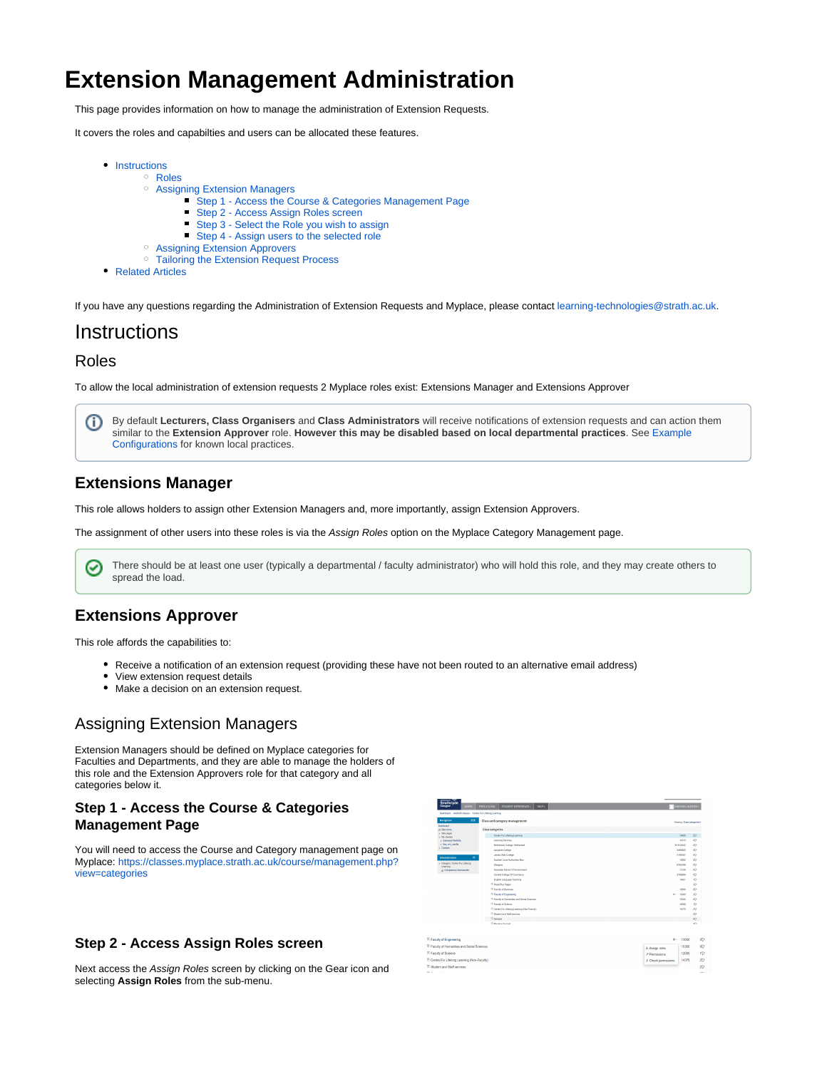# **Extension Management Administration**

This page provides information on how to manage the administration of Extension Requests.

It covers the roles and capabilties and users can be allocated these features.

- $\bullet$  [Instructions](#page-0-0)
	- [Roles](#page-0-1)
		- [Assigning Extension Managers](#page-0-2)
			- [Step 1 Access the Course & Categories Management Page](#page-0-3)
			- [Step 2 Access Assign Roles screen](#page-0-4)
			- [Step 3 Select the Role you wish to assign](#page-1-0)  $\blacksquare$
			- $\blacksquare$ [Step 4 - Assign users to the selected role](#page-1-1)
		- [Assigning Extension Approvers](#page-1-2)
		- <sup>o</sup> [Tailoring the Extension Request Process](#page-1-3)
- [Related Articles](#page-1-4)

If you have any questions regarding the Administration of Extension Requests and Myplace, please contact [learning-technologies@strath.ac.uk](mailto:learning-technologies@strath.ac.uk).

# <span id="page-0-0"></span>**Instructions**

#### <span id="page-0-1"></span>Roles

To allow the local administration of extension requests 2 Myplace roles exist: Extensions Manager and Extensions Approver

By default **Lecturers, Class Organisers** and **Class Administrators** will receive notifications of extension requests and can action them O) similar to the **Extension Approver** role. **However this may be disabled based on local departmental practices**. See [Example](https://wiki.lte.strath.ac.uk/display/MS/Example+Configurations)  [Configurations](https://wiki.lte.strath.ac.uk/display/MS/Example+Configurations) for known local practices.

#### **Extensions Manager**

This role allows holders to assign other Extension Managers and, more importantly, assign Extension Approvers.

The assignment of other users into these roles is via the Assign Roles option on the Myplace Category Management page.

There should be at least one user (typically a departmental / faculty administrator) who will hold this role, and they may create others to  $\bm{\omega}$ spread the load.

# **Extensions Approver**

This role affords the capabilities to:

- Receive a notification of an extension request (providing these have not been routed to an alternative email address)
- View extension request details
- Make a decision on an extension request.

# <span id="page-0-2"></span>Assigning Extension Managers

Extension Managers should be defined on Myplace categories for Faculties and Departments, and they are able to manage the holders of this role and the Extension Approvers role for that category and all categories below it.

#### <span id="page-0-3"></span>**Step 1 - Access the Course & Categories Management Page**

You will need to access the Course and Category management page on Myplace: [https://classes.myplace.strath.ac.uk/course/management.php?](https://classes.myplace.strath.ac.uk/course/management.php?view=categories) [view=categories](https://classes.myplace.strath.ac.uk/course/management.php?view=categories)

<span id="page-0-4"></span>

Next access the Assign Roles screen by clicking on the Gear icon and selecting **Assign Roles** from the sub-menu.

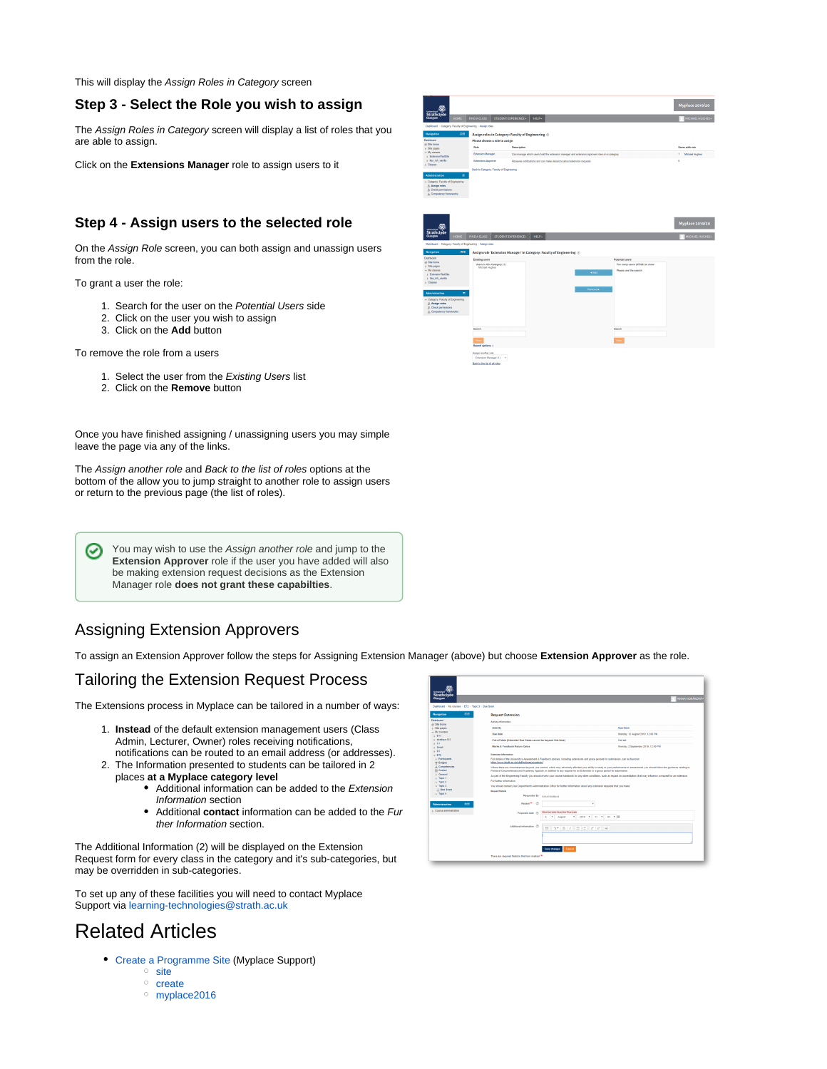This will display the Assign Roles in Category screen

#### <span id="page-1-0"></span>**Step 3 - Select the Role you wish to assign**

The Assign Roles in Category screen will display a list of roles that you are able to assign.

Click on the **Extensions Manager** role to assign users to it

#### <span id="page-1-1"></span>**Step 4 - Assign users to the selected role**

On the Assign Role screen, you can both assign and unassign users from the role.

To grant a user the role:

- 1. Search for the user on the Potential Users side
- 2. Click on the user you wish to assign
- 3. Click on the **Add** button

To remove the role from a users

- 1. Select the user from the Existing Users list
- 2. Click on the **Remove** button

Once you have finished assigning / unassigning users you may simple leave the page via any of the links.

The Assign another role and Back to the list of roles options at the bottom of the allow you to jump straight to another role to assign users or return to the previous page (the list of roles).

You may wish to use the Assign another role and jump to the ✅ **Extension Approver** role if the user you have added will also be making extension request decisions as the Extension Manager role **does not grant these capabilties**.

# <span id="page-1-2"></span>Assigning Extension Approvers

To assign an Extension Approver follow the steps for Assigning Extension Manager (above) but choose **Extension Approver** as the role.

### <span id="page-1-3"></span>Tailoring the Extension Request Process

The Extensions process in Myplace can be tailored in a number of ways:

- 1. **Instead** of the default extension management users (Class Admin, Lecturer, Owner) roles receiving notifications, notifications can be routed to an email address (or addresses).
- 2. The Information presented to students can be tailored in 2 places **at a Myplace category level**
	- Additional information can be added to the Extension Information section
	- Additional **contact** information can be added to the Fur ther Information section.

The Additional Information (2) will be displayed on the Extension Request form for every class in the category and it's sub-categories, but may be overridden in sub-categories.

To set up any of these facilities you will need to contact Myplace Support via [learning-technologies@strath.ac.uk](mailto:learning-technologies@strath.ac.uk)

# <span id="page-1-4"></span>Related Articles

- [Create a Programme Site](https://wiki.lte.strath.ac.uk/display/MS/Create+a+Programme+Site) (Myplace Support)
	- <sup>o</sup> [site](https://wiki.lte.strath.ac.uk/label/site)
	- <sup>o</sup> [create](https://wiki.lte.strath.ac.uk/label/create) [myplace2016](https://wiki.lte.strath.ac.uk/label/myplace2016)

 $\begin{array}{l} \text{if } \text{Sim hours} \\ \text{is } \text{Sim years} \\ \text{in } \text{Norm} \\ \text{in } \text{Sim year} \\ \text{in } \text{Sim} \\ \text{in } \text{Sim} \\ \text{in } \text{Sim} \\ \text{in } \text{Sim} \\ \text{in } \text{Sim} \\ \text{in } \text{Sim} \\ \text{in } \text{Sim} \\ \text{in } \text{Sim} \\ \text{in } \text{Sim} \\ \text{in } \text{Sim} \\ \text{in } \text{Sim} \\ \text{in } \text{Sim} \\ \text{in } \text{Sim} \\ \text{in } \text{Sim} \\ \text{in } \text{Sim} \\ \$ Mathia lalar fran the Dao date<br>  $\vec{v} = \vec{v} \left[ \begin{array}{ccc} \text{Augart} & \rightarrow & 2010 & \rightarrow & 11 & \rightarrow \end{array} \right] \quad \text{51} \quad \rightarrow \left[ \begin{array}{ccc} \text{51} & \rightarrow & \end{array} \right]$  $\boxplus \begin{bmatrix} 3\pi & 8 & I \end{bmatrix} \boxplus \begin{bmatrix} 4 & 2 \end{bmatrix} \boxtimes$